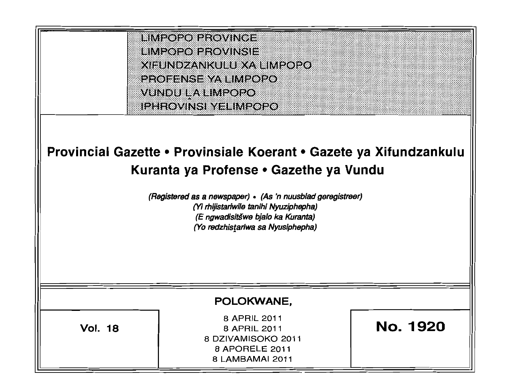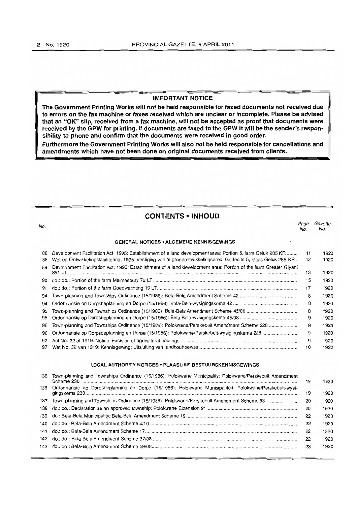# **IMPORTANT NOTICE**

**The Government Printing Works will not be held responsible for faxed documents not received due to errors on the fax machine or faxes received which are unclear or incomplete. Please be advised that an "OK" slip, received from a fax machine, will not be accepted as proof that documents were received by the GPW for printing. If documents are faxed to the GPW it will be the sender's responsibility to phone and confirm that the documents were received in good order.** 

**Furthermore the Government Printing Works will also not be held responsible for cancellations and amendments which have not been done on original documents received from clients.** 

# **CONTENTS • INHOUD**

| No. |                                                                                                                  | Page<br>No. | Gazette<br>No. |
|-----|------------------------------------------------------------------------------------------------------------------|-------------|----------------|
|     | <b>GENERAL NOTICES • ALGEMENE KENNISGEWINGS</b>                                                                  |             |                |
| 88  | Development Facilitation Act, 1995: Establishment of a land development area: Portion 5, farm Geluk 285 KR       | 11          | 1920           |
| 88  | Wet op Ontwikkelingsfasilitering, 1995: Vestiging van 'n grondontwikkelingsarea: Gedeelte 5, plaas Geluk 285 KR. | 12          | 1920           |
| 89  | Development Facilitation Act, 1995: Establishment of a land development area: Portion of the farm Greater Giyani | 13          | 1920           |
| 90  |                                                                                                                  | 15          | 1920           |
| 91  |                                                                                                                  | 17          | 1920           |
| 94  |                                                                                                                  | 8           | 1920           |
| 94  |                                                                                                                  | 8           | 1920           |
| 95  |                                                                                                                  | 8           | 1920           |
| 95  |                                                                                                                  | 9           | 1920           |
| 96  | Town-planning and Townships Ordinance (15/1986): Polokwane/Perskebult Amendment Scheme 228                       | 9           | 1920           |
| 96  | Ordonnansie op Dorpsbeplanning en Dorpe (15/1986): Polokwane/Perskebult-wysigingskema 228                        | 9           | 1920           |
| 97  |                                                                                                                  | 9           | 1920           |
| 97  |                                                                                                                  | 10          | 1920           |
|     |                                                                                                                  |             |                |

# **LOCAL AUTHORITY NOTICES· PLAASLIKE BESTUURSKENNISGEWINGS**

| 136 Town-planning and Townships Ordinance (15/1986): Polokwane Municipality: Polokwane/Perskebult Amendment | 19 | 1920 |
|-------------------------------------------------------------------------------------------------------------|----|------|
| 136 Ordonnansie op Dorpsbeplanning en Dorpe (15/1986): Polokwane Munisipaliteit: Polokwane/Perskebult-wysi- | 19 | 1920 |
| 137 Town-planning and Townships Ordinance (15/1986): Polokwane/Perskebult Amendment Scheme 93               | 20 | 1920 |
|                                                                                                             | 20 | 1920 |
|                                                                                                             | 22 | 1920 |
|                                                                                                             | 22 | 1920 |
|                                                                                                             | 22 | 1920 |
|                                                                                                             | 22 | 1920 |
|                                                                                                             | 23 | 1920 |
|                                                                                                             |    |      |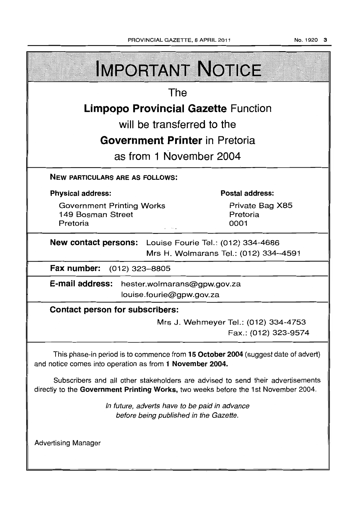| <b>IMPORTANT NOTICE</b>                                                                                                                                               |  |                                     |  |  |  |
|-----------------------------------------------------------------------------------------------------------------------------------------------------------------------|--|-------------------------------------|--|--|--|
| The                                                                                                                                                                   |  |                                     |  |  |  |
| <b>Limpopo Provincial Gazette Function</b>                                                                                                                            |  |                                     |  |  |  |
| will be transferred to the                                                                                                                                            |  |                                     |  |  |  |
| <b>Government Printer</b> in Pretoria                                                                                                                                 |  |                                     |  |  |  |
| as from 1 November 2004                                                                                                                                               |  |                                     |  |  |  |
| <b>NEW PARTICULARS ARE AS FOLLOWS:</b>                                                                                                                                |  |                                     |  |  |  |
| <b>Physical address:</b>                                                                                                                                              |  | <b>Postal address:</b>              |  |  |  |
| <b>Government Printing Works</b><br>149 Bosman Street<br>Pretoria                                                                                                     |  | Private Bag X85<br>Pretoria<br>0001 |  |  |  |
| New contact persons: Louise Fourie Tel.: (012) 334-4686<br>Mrs H. Wolmarans Tel.: (012) 334-4591                                                                      |  |                                     |  |  |  |
| Fax number:<br>(012) 323–8805                                                                                                                                         |  |                                     |  |  |  |
| E-mail address:<br>hester.wolmarans@gpw.gov.za<br>louise.fourie@gpw.gov.za                                                                                            |  |                                     |  |  |  |
| <b>Contact person for subscribers:</b>                                                                                                                                |  |                                     |  |  |  |
| Mrs J. Wehmeyer Tel.: (012) 334-4753<br>Fax.: (012) 323-9574                                                                                                          |  |                                     |  |  |  |
| This phase-in period is to commence from 15 October 2004 (suggest date of advert)<br>and notice comes into operation as from 1 November 2004.                         |  |                                     |  |  |  |
| Subscribers and all other stakeholders are advised to send their advertisements<br>directly to the Government Printing Works, two weeks before the 1st November 2004. |  |                                     |  |  |  |
| In future, adverts have to be paid in advance<br>before being published in the Gazette.                                                                               |  |                                     |  |  |  |
| <b>Advertising Manager</b>                                                                                                                                            |  |                                     |  |  |  |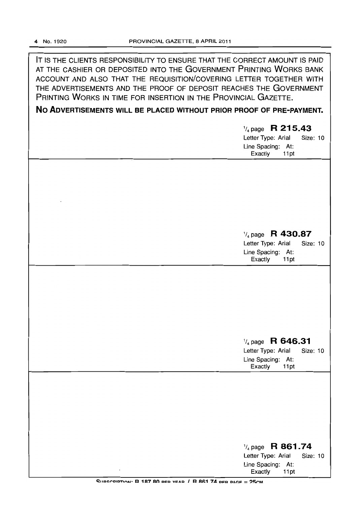IT IS THE CLIENTS RESPONSIBILITY TO ENSURE THAT THE CORRECT AMOUNT IS PAID AT THE CASHIER OR DEPOSITED INTO THE GOVERNMENT PRINTING WORKS BANK ACCOUNT AND ALSO THAT THE REQUISITION/COVERING LETTER TOGETHER WITH THE ADVERTISEMENTS AND THE PROOF OF DEPOSIT REACHES THE GOVERNMENT PRINTING WORKS IN TIME FOR INSERTION IN THE PROVINCIAL GAZETTE.

**No ADVERTISEMENTS WILL BE PLACED WITHOUT PRIOR PROOF OF PRE-PAYMENT.** 

|         | $\frac{1}{4}$ page R 215.43<br>Letter Type: Arial<br>Size: 10<br>Line Spacing: At:<br>Exactly<br>11pt |
|---------|-------------------------------------------------------------------------------------------------------|
|         |                                                                                                       |
|         |                                                                                                       |
|         | $\frac{1}{4}$ page R 430.87<br>Letter Type: Arial<br>Size: 10<br>Line Spacing: At:<br>Exactly<br>11pt |
|         |                                                                                                       |
|         |                                                                                                       |
|         | $\frac{1}{4}$ page R 646.31<br>Letter Type: Arial<br>Size: 10<br>Line Spacing: At:<br>Exactly<br>11pt |
|         |                                                                                                       |
|         |                                                                                                       |
| $\cdot$ | $\frac{1}{4}$ page R 861.74<br>Letter Type: Arial<br>Size: 10<br>Line Spacing: At:<br>Exactly<br>11pt |

SUBSCRIPTION: R 187 80 PER VEAR / R 861 74 PER PAGE = 25CM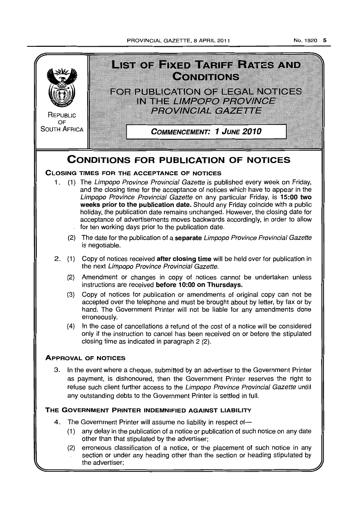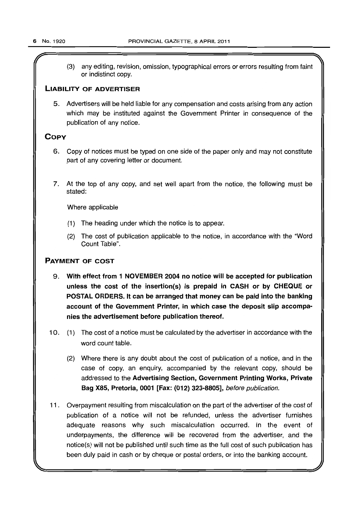(3) any editing, revision, omission, typographical errors or errors resulting from faint or indistinct copy.

# LIABILITY OF ADVERTISER

5. Advertisers will be held liable for any compensation and costs arising from any action which may be instituted against the Government Printer in consequence of the publication of any notice.

# **COPY**

- 6. Copy of notices must be typed on one side of the paper only and may not constitute part of any covering letter or document.
- 7. At the top of any copy, and set well apart from the notice, the following must be stated:

Where applicable

- (1) The heading under which the notice is to appear.
- (2) The cost of publication applicable to the notice, in accordance with the "Word Count Table".

# PAYMENT OF COST

- 9. With effect from 1 NOVEMBER 2004 no notice will be accepted for publication unless the cost of the insertion(s) is prepaid in CASH or by CHEQUE or POSTAL ORDERS. It can be arranged that money can be paid into the banking account of the Government Printer, in which case the deposit slip accompanies the advertisement before publication thereof.
- 10. (1) The cost of a notice must be calculated by the advertiser in accordance with the word count table.
	- (2) Where there is any doubt about the cost of publication of a notice, and in the case of copy, an enquiry, accompanied by the relevant copy, should be addressed to the Advertising Section, Government Printing Works, Private Bag X85, Pretoria, 0001 [Fax: (012) 323-8805], before publication.
- 11. Overpayment resulting from miscalculation on the part of the advertiser of the cost of publication of a notice will not be refunded, unless the advertiser furnishes adequate reasons why such miscalculation occurred. In the event of underpayments, the difference will be recovered from the advertiser, and the notice(s) will not be published until such time as the full cost of such publication has been duly paid in cash or by cheque or postal orders, or into the banking account.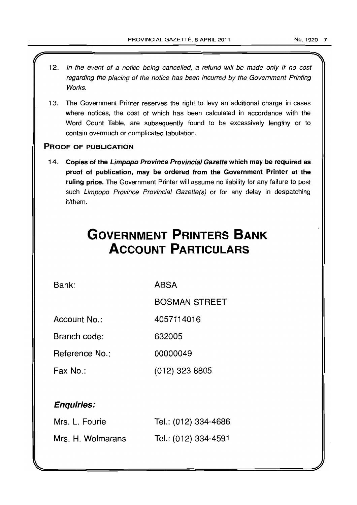- 12. In the event of a notice being cancelled, a refund will be made only if no cost regarding the placing of the notice has been incurred by the Government Printing Works.
- 13. The Government Printer reserves the right to levy an additional charge in cases where notices, the cost of which has been calculated in accordance with the Word Count Table, are subsequently found to be excessively lengthy or to contain overmuch or complicated tabulation.

# PROOF OF PUBLICATION

14. Copies of the Limpopo Province Provincial Gazette which may be required as proof of publication, may be ordered from the Government Printer at the ruling price. The Government Printer will assume no liability for any failure to post such Limpopo Province Provincial Gazette(s) or for any delay in despatching it/them.

# **GOVERNMENT PRINTERS BANK ACCOUNT PARTICULARS**

Bank:

ABSA

BOSMAN STREET

Account No.: 4057114016

Branch code: 632005

Reference No.: 00000049

Fax No.: (012) 323 8805

# Enquiries:

| Mrs. L. Fourie    | Tel.: (012) 334-4686 |
|-------------------|----------------------|
| Mrs. H. Wolmarans | Tel.: (012) 334-4591 |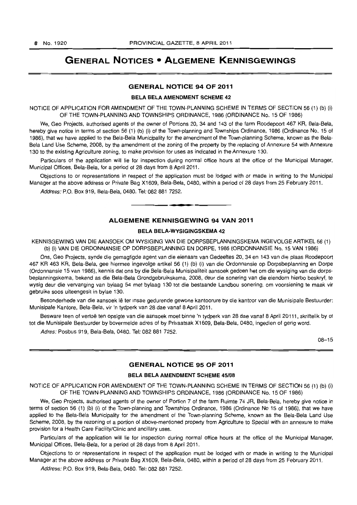# **GENERAL NOTICES • ALGEMENE KENNISGEWINGS**

# **GENERAL NOTICE 94 OF 2011**

### **BELA BELA AMENDMENT SCHEME** 42

NOTICE OF APPLICATION FOR AMENDMENT OF THE TOWN-PLANNING SCHEME IN TERMS OF SECTION 56 (1) (b) (i) OF THE TOWN-PLANNING AND TOWNSHIPS ORDINANCE, 1986 (ORDINANCE No. 15 OF 1986)

We, Geo Projects, authorised agents of the owner of Portions 20, 34 and 143 of the farm Roodepoort 467 KR, Bela-Bela, hereby give notice in terms of section 56 (1) (b) (i) of the Town-planning and Townships Ordinance, 1986 (Ordinance No. 15 of 1986), that we have applied to the Bela-Bela Municipality for the amendment of the Town-planning Scheme, known as the Bela-Bela Land Use Scheme, 2008, by the amendment of the zoning of the property by the replacing of Annexure 54 with Annexure 130 to the existing Agriculture zoning, to make provision for uses as indicated in the Annexure 130.

Particulars of the application will lie for inspection during normal office hours at the office of the Municipal Manager, Municipal Offices, Bela-Bela, for a period of 28 days from 8 April 2011.

Objections to or representations in respect of the application must be lodged with or made in writing to the Municipal Manager at the above address or Private Bag X1609, Bela-Bela, 0480, within a period of 28 days from 25 February 2011.

Address: P.O. Box 919, Bela-Bela, 0480. Tel: 082 881 7252.

# **ALGEMENE KENNISGEWING 94 VAN 2011**

• **• •** 

### **BELA BELA-WVSIGINGSKEMA** 42

KENNISGEWING VAN DIEAANSOEK OM WVSIGING VAN DIE DORPSBEPLANNINGSKEMA INGEVOLGEARTIKEL56 (1) (b) (i) VAN DIE ORDONNANSIE OP DORPSBEPLANNING EN DORPE, 1986 (ORDONNANSIE No. 15 VAN 1986)

Ons, Geo Projects, synde die gemagtigde agent van die eienaars van Gedeeltes 20,34 en 143 van die plaas Roodepoort 467 KR 463 KR, Bela-Bela, gee hiermee ingevolge artikel 56 (1) (b) (i) van die Ordonnansie op Dorpsbeplanning en Dorpe (Ordonnansie 15 van 1986), kennis dat ons by die Bela-Bela Munisipaliteit aansoek gedoen het om die wysiging van die dorpsbeplanningskema, bekend as die Bela-Bela Grondgebruikskema, 2008, deur die sonering van die eiendom hierbo beskryf, te wysig deur die vervanging van bylaag 54 met bylaag 130 tot die bestaande Landbou sonering, om voorsiening te maak vir gebruike soos uiteengesit in bylae 130.

Besonderhede van die aansoek lê ter insae gedurende gewone kantoorure by die kantoor van die Munisipale Bestuurder: Munisipale Kantore, Bela-Bela, vir 'n tydperk van 28 dae vanaf 8 April 2011.

Besware teen of vertoë ten opsigte van die aansoek moet binne 'n tydperk van 28 dae vanaf 8 April 20111, skriftelik by of tot die Munisipale Bestuurder by bovermelde adres of by Privaatsak X1609, Bela-Bela, 0480, ingedien of gerig word.

Adres: Posbus 919, Bela-Bela, 0480. Tel: 082 881 7252.

08-15

# **GENERAL NOTICE 95 OF 2011**

### **BELA BELA AMENDMENT SCHEME** 45/08

NOTICE OF APPLICATION FOR AMENDMENT OF THE TOWN-PLANNING SCHEME IN TERMS OF SECTION 56 (1) (b) (i) OF THE TOWN-PLANNING AND TOWNSHIPS ORDINANCE, 1986 (ORDINANCE No. 15 OF 1986)

We, Geo Projects, authorised agents of the owner of Portion 7 of the farm Ruimte 74 JR, Bela-Bela, hereby give notice in terms of section 56 (1) (b) (i) of the Town-planning and Townships Ordinance, 1986 (Ordinance No 15 of 1986), that we have applied to the Bela-Bela Municipality for the amendment of the Town-planning Scheme, known as the Bela-Bela Land Use Scheme, 2008, by the rezoning of a portion of above-mentioned property from Agriculture to Special with an annexure to make provision for a Health Care Facility/Clinic and ancillary uses.

Particulars of the application will lie for inspection during normal office hours at the office of the Municipal Manager, Municipal Offices, Bela-Bela, for a period of 28 days from 8 April 2011.

Objections to or representations in respect of the application must be lodged with or made in writing to the Municipal Manager at the above address or Private Bag X1609, Bela-Bela, 0480, within a period of 28 days from 25 February 2011.

Address: P.O. Box 919, Bela-Bela, 0480. Tel: 082 881 7252.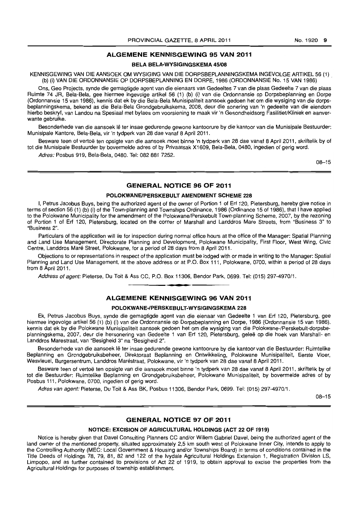# **ALGEMENE KENNISGEWING 95 VAN 2011**

# **BELA BELA-WYSIGINGSKEMA 45/08**

KENNISGEWING **VAN** DIE AANSOEK OM WYSIGING VAN DIE DORPSBEPLANNINGSKEMA INGEVOLGE ARTIKEL 56 (1) (b) {I} VAN DIE ORDONNANSIE OP DORPSBEPLANNING EN DORPE, 1986 (ORDONNANSIE No. 15 VAN 1986) .

Ons, Geo Projects, synde die gemagtigde agent van die eienaars van Gedeeltes 7 van die plaas Gedeelte 7 van die plaas Ruimte 74 JR, Bela-Bela, gee hiermee ingevolge artikel 56 (1) (b) (i) van die Ordonnansie op Dorpsbeplanning en Dorpe (Ordonnansie 15 van 1986), kennis dat ek by die Bela-Bela Munisipaliteit aansoek gedoen het om die wysiging van die dorpsbeplanningskema, bekend as die Bela-Bela Grondgebruikskema, 2008, deur die sonering van 'n gedeelte van die eiendom hierbo beskryf, van Landou na Spesiaal met bylaes om voorsiening te maak vir 'n Gesondheidsorg Fasilitiet/Kliniek en aanverwante gebruike.

Besonderhede van die aansoek lê ter insae gedurende gewone kantoorure by die kantoor van die Munisipale Bestuurder: Munisipale Kantore, Bela-Bela, vir 'n tydperk van 28 dae vanaf 8 April 2011.

Besware teen of vertoë ten opsigte van die aansoek moet binne 'n tydperk van 28 dae vanaf 8 April 2011, skriftelik by of tot die Munisipale Bestuurder by bovermelde adres of by Privaatsak X1609, Bela-Bela, 0480, ingedien of gerig word.

Adres: Posbus 919, Bela-Bela, 0480. Tel: 082 881 7252.

08-15

# **GENERAL NOTICE 96 OF 2011**

### **POLOKWANEIPERSKEBULT AMENDMENT SCHEME 228**

I, Petrus Jacobus Buys, being the authorized agent of the owner of Portion 1 of Erf 120, Pietersburg, hereby give notice in terms of section 56 (i) (b) (i) of the Town-planning and Townships Ordinance, 1986 (Ordinance 15 of 1986), that I have applied to the Polokwane Municipality for the amendment of the Polokwane/Perskebult Town-planning Scheme, 2007, by the rezoning of Portion 1 of Erf 120, Pietersburg, located on the corner of Marshall and Landdros Mare Streets, from "Business 3" to "Business 2".

Particulars of the application will lie for inspection during normal office hours at the office of the Manager: Spatial Planning and Land Use Management, Directorate Planning and Development, Polokwane Municipality, First Floor, West Wing, Civic Centre, Landdros Mare Street, Polokwane, for a period of 28 days from 8 April 2011.

Objections to or representations in respect of the application must be lodged with or made in writing to the Manager: Spatial Planning and Land Use Management, at the above address or at P.O. Box 111, Polokwane, 0700. within a period of 28 days from 8 April 2011.

Address of agent: Pieterse, Du Toit & Ass CC, P.O. Box 11306, Bendor Park, 0699. Tel: (015) 297-4970/1 .

# . **- . ALGEMENE KENNISGEWING 96 VAN 2011**

# **POLOKWANE-IPERSKEBULT-WYSIGINGSKEMA 228**

Ek, Petrus Jacobus Buys, synde die gemagtigde agent van die eienaar van Gedeelte 1 van Erf 120, Pietersburg. gee hiermee ingevolge artikel 56 (1) (b) (i) van die Ordonnansie op Dorpsbeplanning en Dorpe, 1986 (Ordonnansie 15 van 1986), kennis dat ek by die Polokwane Munisipaliteit aansoek gedoen het am die wysiging van die Polokwane-/Perskebult-dorpsbeplanningskema. 2007, deur die hersonering van Gedeelte 1 van Erf 120, Pietersburg, gelee op die hoek van Marshall- en Landdros Marestraat, van "Besigheid 3" na "Besigheid 2",

Besonderhede van die aansoek lê ter insae gedurende gewone kantoorure by die kantoor van die Bestuurder: Ruimtelike Beplanning en Grondgebruiksbeheer, Direktoraat Beplanning en Ontwikkeling, Polokwane Munisipaliteit, Eerste Vloer, Wesvleuel, Burgersentrum, Landdros Marestraat, Polokwane, vir 'n tydperk van 28 dae vanaf 8 April 2011.

Besware teen of vertoë ten opsigte van die aansoek moet binne 'n tydperk van 28 dae vanaf 8 April 2011, skriftelik by of tot die Bestuurder: Ruimtelike Beplanning en Grondgebruiksbeheer, Polokwane Munisipaliteit. by bovermelde adres of by Posbus 111. Polokwane, 0700, ingedien of gerig word.

Adres van agent: Pieterse, Du Toit & Ass BK, Posbus 11306. Bendor Park, 0699. Tel: (015) 297-4970/1.

08-15

### **GENERAL NOTICE 97 OF 2011**

### **NOTICE: EXCISION OF AGRICULTURAL HOLDINGS (ACT 22 OF 1919)**

Notice is hereby given that Davel Consulting Planners CC and/or Willem Gabriel Davel, being the authorized agent of the land owner of the mentioned property, situated approximately 2,5 km south west of Polokwane Inner City. intends to apply to the Controlling Authority (MEC: Local Government & Housing and/or Townships Board) in terms of conditions contained in the Title Deeds of Holdings 78. 79, 81. 82 and 122 of the Ivydale Agricultural Holdings Extension 1, Registration Division LS. Limpopo. and as further contained ito provisions of Act 22 of 1919. to obtain approval to excise the properties from the Agricultural Holdings for purposes of township establishment.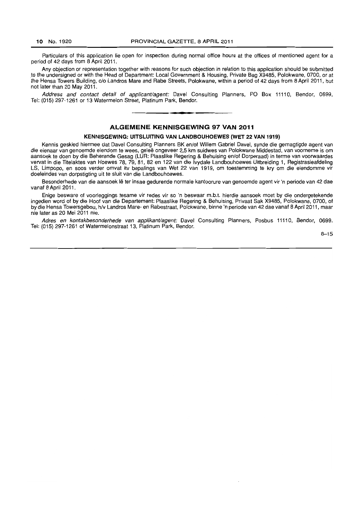Particulars of this application lie open for inspection during normal office hours at the offices of mentioned agent for a period of 42 days from 8 April 2011.

Any objection or representation together with reasons for such objection in relation to this application should be submitted to the undersigned or with the Head of Department: Local Government & Housing, Private Bag X9485, Polokwane, 0700, or at the Hensa Towers Building, c/o Landros Mare and Rabe Streets, Polokwane, within a period of 42 days from 8 April 2011, but not later than 20 May 2011.

Address and contact detail of applicant/agent: Davel Consulting Planners, PO Box 11110, Bendor, 0699, Tel: (015) 297-1261 or 13 Watermelon Street, Platinum Park, Bendor. . **-.** 

# **ALGEMENE KENNISGEWING 97 VAN 2011**

### **KENNISGEWING: UITSLUITING VAN LANDBOUHOEWES (WET 22 VAN 1919)**

Kennis geskied hiermee dat Davel Consulting Planners BK en/of Willem Gabriel Davel, synde die gemagtigde agent van die eienaar van genoemde eiendom te wees, geleë ongeveer 2,5 km suidwes van Polokwane Middestad, van voorneme is om aansoek te doen by die Beherende Gesag (LUR: Plaaslike Regering & Behuising en/of Dorperaad) in terme van voorwaardes vervat in die Titelaktes van Hoewes 78, 79, 81, 82 en 122 van die Ivydale Landbouhoewes Uitbreiding 1, Registrasieafdeling LS, Limpopo, en soos verder omvat itv bepalings van Wet 22 van 1919, om toestemming te kry om die eiendomme vir doeleindes van dorpstigting uit te sluit van die Landbouhoewes.

Besonderhede van die aansoek lê ter insae gedurende normale kantoorure van genoemde agent vir 'n periode van 42 dae vanaf 8 April 2011.

Enige besware of voorleggings tesame vir redes vir so 'n beswaar m.b.t. hierdie aansoek moet by die ondergetekende ingedien word of by die Hoof van die Departement: Plaaslike Regering & Behuising, Privaat Sak X9485, Polokwane, 0700, of by die Hensa Towersgebou, *h/v* Landros Mare- en Rabestraat, Polokwane, binne 'n periode van 42 dae vanaf 8 April 2011 , maar nie later as 20 Mei 2011 nie.

Adres en kontakbesonderhede van applikant/agent: Davel Consulting Planners, Posbus 11110, Bendor, 0699. Tel: (015) 297-1261 of Watermelonstraat 13, Platinum Park, Bendor.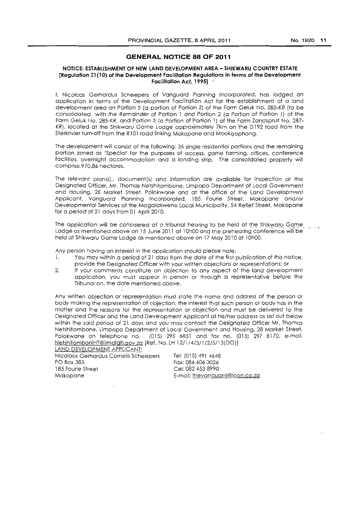# **GENERAL NOTICE 88 OF 2011**

### **NOTICE: ESTABLISHMENT OF NEW LAND DEVELOPMENT AREA - SHIKWARU COUNTRY ESTATE [Regulation 21 (10) of the Development Facilitation Regulations in terms of the Development Facilitation Act. 1995]**

I. Nicolaas Gerhardus Scheepers of Vanguard Planning Incorporated. has lodged an application in terms of the Development Facilitation Act for the establishment of a land development area on Portion 5 (a portion of Portion 2) of the Farm Geluk No. 285-KR (to be consolidated with the Remainder of Portion 1 and Portion 2 (a Portion of Portion 1} of the Farm Geluk No. 285-KR, and Portion 2 (a Portion of Portion 1) of the Farm Zandspruit No. 287-KRJ, located at the Shikwaru Game Lodge approximately 7km on the D192 road from the Sterkrivier turn-off from the R101 road linking Mokopane and Mookgophong.

The development will consist of the following: 35 single residential portions and the remaining portion zoned as 'Special' for the purposes of access, game farming, offices, conference facilities, overnight accommodation and a landing strip. The consolidated property will comprise 970,86 hectares.

The relevant plan(s),. document(s) and information are available for inspection at the Designated Officer, Mr. Thomas Netshitombone, Limpopo Department of Local Government and Housing, 28 Market Street, Polokwane and at the office of the Land Developmgnt Applicant, Vanguard Planning Incorporated, 185 Fourie Street, Mokopane and/or Developmental Services of the Mogalakwena Local Municipality, 54 Refief Street, Mokopane for a period of 21 days from 01 April 2010.

The application will be considered at a tribunal hearing to be held at the Shikwaru Game Lodge as mentioned above on 15 June 2011 at 10h00 and the prehearing conference will be held at Shikwaru Game Lodge as mentioned above on 17 May 2010 at 10hOO.

Any person having an interest in the application should please note:

- 1. You may within a period of 21 days from the date of the first publication of this notice, provide the Designated Officer with your written objections or representations; or
- 2. If your comments constitute an objection to any aspect of the land development application, you must appear in person or through a representative before the Tribunal on, the date mentioned above.

Any written objection or representation must state the name and address of the person or body making the representation of objection, the interest that such person or body has in the matter and the reasons for the representation or objection and must be delivered to the Designated Officer and the Land Development Applicant at his/her address as set out below within the said period of 21 days and you may contact the Designated Officer Mr. Thomas Netshitombone, Limpopo Department of Local Government and Housing, 28 Market Street, Polokwane on telephone no. (015) 2956851 and fax no. (015) 297 8170, e-mail. NetshitomboniHT@limdlgh.gov.za [Ref. No. LH 12/1/4/3/1/2/5/13(DO)] LAND DEVELOPMENT APPLICANT:

Nicolaas Gerhardus Comelis Scheepers PO Box 383 185 Fourie Street Mokopane

Tel: (015) 491 4648 Fax: 086 606 3026 Cel: 082 453 8990 E-mail: thevanouard@icon.co.za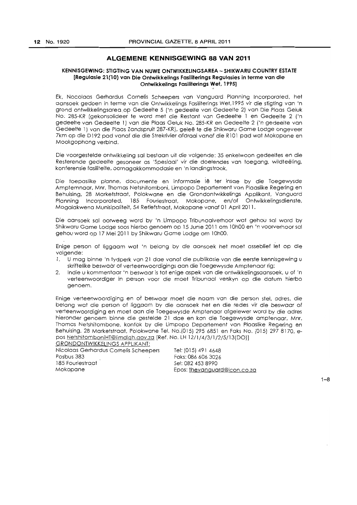# **ALGEMENE KENNISGEWING 88 VAN 2011**

### **KENNISGEWING: STiGTING VAN NUWE ONTWIKKELINGSAREA - SHIKWARU COUNTRY ESTATE [Regulasie 21 (10) van Die Ontwikkelings Fasiliterings Regulasies in terme van die Ontwikkelings Fasiliterings Wet, 1995]** ,

Ek, Nocolaas Gerhardus Comelis Scheepers van Vanguard Planning Incorporated, het aansoek gedoen in terme van die Ontwikkelings Fasiliterings Wet,1995 vir die stigting van 'n grond ontwikkelingsareaop Gedeelfe 5 ('n gedeelte van Gedeelte 2) van Die Plaas Geluk No; 285-KR (gekonsolideei te word met die Restant van Gedeelte 1 en Gedeelte 2 ('n gedeelte van Gedeelfe 1) van die Plaas Geluk No. 285-KR en Gedeelte 2 ('n gedeelte van Gedeelte 1) van die Plaas Zandspruit 287-KR), geleë te die Shikwaru Game Lodge ongeveer 7km op die D192 pad vanaf die die Strekrivier afdraai vanaf die R101 pad wat Mokopane en Mookgophong verbind.

Die voorgesfelde ontwikkeling sal bestaan uit die volgende: 35 enkelwoon gedeeltes en die Resterende gedeelte gesoneer as 'Spesiaal' vir die doelendes van toegang, wildteeling, konferensie fosiliteite, oornagakkommodasie en 'n landingstrook.

Die toepaslike planne, documente en informasie Iê ter insae by die Toegewysde Amptemnaar, Mnr. Thomas Netshitomboni, Limpopo Departement van Plaaslike Regering en Behuising, 28 Marketstraat, Polokwane en die Grondontwikkelings Applikant, Vanguard Planning Incorporated, 185 Fouriestraat, Mokopane, en/of Ontwikkelingsdiensfe, Mogalakwena Munisipaliteit, 54 Retiefstraat, Mokopane vanaf 01 Apri12011.

Die aansoek sal oorweeg word by 'nLimpopo Tribunaalverhoor wat gehou sal word by Shikwaru Game Lodge soos hierbo genoem op 15 Junie 2011 om 10h00 en 'n voorverhoor sal gehou word op 17 Mei 2011 by Shikwaru Game Lodge om 10hOO.

Enige person of Iiggoam wat 'n belong by die aansoek het moet asseblief let op die volgende:

- 1. U mag binne 'n tydperk van 21 dae vanaf die publikasie von die eersfe kennisgewing u skriftelike beswaar of verteenwoordigings aon die Toegewysde Amptenaar rig;
- 2. Indie u kommentaar 'n beswaar is tot enige aspek van die ontwikkelingsaansoek, u of 'n verteenwoordiger in person voor die moet Tribunaal verskyn op die datum hierbo genoem.

Enige verteenwoordiging. en of beswaar moet die naam van die person stel. adres, die belong wat die person of liggoam by die aansoek het en die redes vir die beswaar of verfeenwoordiging en moet aan die Toegewysde Amptenaar afgelewer word by die adres hieronder genoem binne die gestelde 21 doe en kan die Toegewysde amptenaar, Mnr. Thomas. Netshitombone, konfak by die Limpopo Departement van Plaaslike Regering en Behuising, 28 Marketstraat, Polokwane Tel. NO.(015) 295 6851 en Faks No. (015) 297 8170, epos NetshitomboniHT@limdlgh.gov.za [Ref. No. LH 12/1/4/3/1/2/5/13(DO)]

GRONDONTWIKKELINGS APPLIKANT: Nicolaas Gerhardus Cornelis Scheepers Posbus 383 185 Fouriestraat Mokopane

Tel: (015) 491 4648 Faks: 086 606 3026 5el: 082 453 8990 Epos: thevanquard@icon.co.za

 $1 - R$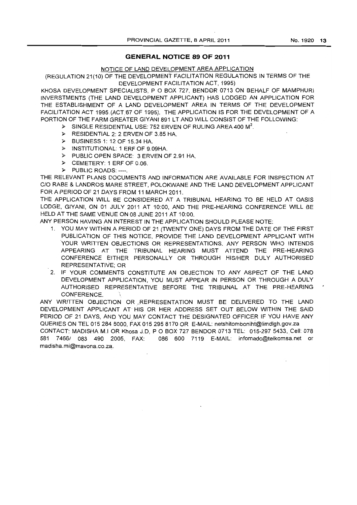# **GENERAL NOTICE 89 OF 2011**

# NOTICE OF LAND DEVELOPMENT AREA APPLICATION

(REGULATION 21(10) OF THE DEVELOPMENT FACILITATION REGULATIONS IN TERMS OF THE DEVELOPMENT FACILITATION ACT, 1995)

KHOSA DEVELOPMENT SPECIALISTS, POBOX 727, BEND0R 0713 ON BEHALF OF MAMPHURI INVERSTMENTS (THE LAND DEVELOPMENT APPLICANT) HAS LODGED AN APPLICATION FOR THE ESTABLISHMENT OF A LAND DEVELOPMENT AREA IN TERMS OF THE DEVELOPMENT FACILITATION ACT 1995.(ACT 67 OF 1995). THE APPLICATION IS FOR THE DEVELOPMENT OF A PORTION OF THE FARM GREATER GIYANI 891 LT AND WILL CONSIST OF THE FOLLOWING:

- $\triangleright$  SINGLE RESIDENTIAL USE: 752 ERVEN OF RULING AREA 400 M<sup>2</sup>.
- > RESIDENTIAL 2: 2 ERVEN OF 3.85 HA.
- <sup>~</sup>BUSINESS 1: 12 OF 15.34 HA.
- <sup>~</sup>INSTITUTIONAL: 1 ERF OF 9.09HA.
- <sup>~</sup>PUBLIC OPEN SPACE: 3 ERVEN OF 2.91 HA.
- .~ CEMETERY: 1 ERF OF 0.06.
- > PUBLIC ROADS: ----.

THE RELEVANT PLANS DOCUMENTS AND INFORMATION ARE AVAILABLE FOR INSPECTION AT C/O RABE & LANDROS MARE STREET, POLOKWANE AND THE LAND DEVELOPMENT APPLICANT FOR A PERIOD OF 21 DAYS FROM 11 MARCH 2011.

THE APPLICATION WILL BE CONSIDERED AT A TRIBUNAL HEARING TO BE HELD AT OASIS LODGE, GIYANI, ON 01 JULY 2011 AT 10:00, AND THE PRE-HEARING CONFERENCE WILL BE HELD AT THE SAME VENUE ON 08 JUNE 2011 AT 10:00.

ANY PERSON HAVING AN INTEREST IN THE APPLICATION SHOULD PLEASE NOTE:

- 1. YOU MAY WITHIN A PERIOD OF 21 (TWENTY ONE) DAYS FROM THE DATE OF THE FIRST PUBLICATION OF THIS NOTICE, PROVIDE THE LAND DEVELOPMENT APPLICANT WITH 'YOUR WRITTEN OBJECTIONS OR REPRESENTATIONS. ANY PERSON WHO INTENDS APPEARING AT THE TRIBUNAL HEARING MUST ATTEND THE PRE-HEARING CONFERENCE EITHER PERSONALLY OR THROUGH HIS/HER DULY AUTHORISED REPRESENTATIVE; OR
- 2. IF YOUR COMMENTS CONSTITUTE AN OBJECTION TO ANY ASPECT OF THE LAND DEVELOPMENT APPLICATION, YOU MUST APPEAR IN PERSON OR THROUGH A DULY AUTHORISED REPRESENTATIVE BEFORE THE TRIBUNAL AT THE PRE-HEARING CONFERENCE.

ANY WRITTEN OBJECTION OR REPRESENTATION MUST BE DELIVERED TO THE LAND DEVELOPMENT APPLICANT AT HIS OR HER ADDRESS SET OUT BELOW WITHIN THE SAID PERIOD OF 21 DAYS, AND YOU MAY CONTACT THE DESIGNATED OFFICER IF YOU HAVE ANY QUERIES ON TEL 015 284 5000, FAX 015 295 8170 OR E-MAIL: netshitomboniht@limdlgh.gov.za

CONTACT: MADISHA M.I OR Khosa J.D, POBOX 727 BENDOR 0713 TEL: 015-297 5433, Cell: 078 581 7466/ 083 490 2005, FAX: 086 600 7119 E-MAIL: infomadc@telkomsa.net or madisha.mi@mavona.co.za ..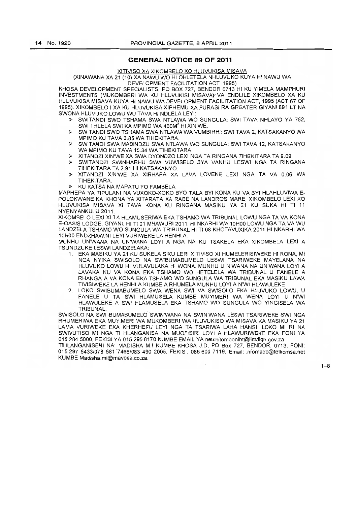# **GENERAL NOTICE 89 OF 2011**

XITIVISO XA XIKOMBELO XO HLUVUKISA MISAVA

(XINAWANA XA 21 (10) XA NAWU WO HLOHLETELA NHLUVUKO KUYA HI NAWU WA DEVELOPMENT FACILITATION ACT, 1995)

KHOSA DEVELOPMENT SPECIALISTS, PO BOX 727, BENDOR 0713 HI KU YIMELA MAMPHURI INVESTMENTS (MUKOMBERI WA KU HLUVUKISI MISAVA)' VA ENDLILE XIKOMBELO XA KU HLUVUKISA MISAVA KUYA HI NAWU WA DEVELOPMENT FACILITATION ACT, 1995 (ACT 67 OF 1995). XIKOMBELO I XA KU HLUVUKISAXIPHEMU XA PURASI RA GREATER GIYANI 891 LT NA SWONA HLUVUKOLOWU WU TAVA HI NDLELA LEYI:

- );> SWITANDI SWO TSHAMA SWA NTLAWA WO SUNGULA: SWI TAVA NHLAYO YA 752, SWI THLELA SWI KA MPIMO WA 400M<sup>2</sup> HI XIN'WE.
- );> SWITANDI SWO TSHAMA SWA NTLAWA WA VUMBIRHI: SWI TAVA 2, KATSAKANYO WA MPIMO KU TAVA 3.85 WA TIHEKITARA.
- );> SWITANDI SWA MABINDZU SWA NTLAWA WO SUNGULA: SWI TAVA 12, KATSAKANYO WA MPIMO KU TAVA 15.34 WA TIHEKITARA.
- );> XITANDZI XIN'WE XA SWA DYONDZO LEXI NGA TA RINGANA TIHEKITARA TA 9.09
- );> SWITANDZI SWINHARHU SWA VUWISELO BYA VANHU LESWI NGA TA RINGANA TIHEKITARA TA 2.91 HI KATSAKANYO.
- );> XITANDZI XIN'WE XA XIRHAPA XA LAVA LOVEKE LEXI NGA TA VA 0.06 WA TIHEKITARA.
- );> KU KATSA NA MAPATU YO FAMBELA.

MAPHEPA YA TIPULANI NA VUXOKO-XOKO BYO TALA BYI KONA KU VA BYI HLAHLUVIWA E-POLOKWANE KA KHONA YA XITARATA XA RASE NA LANDROS MARE, XIKOMSELO LEXI XO HLUVUKISA MISAVA XI TAVA KONA KU RINGANA MASIKU YA 21 KU SUKA HI TI 11 NYENYANKULU 2011.

XIKOMBELO LEXI XI TA HLAMUSERIWA EKA TSHAMO WA TRIBUNAL LOWU NGA TA VA KONA E-OASIS LODGE, GIYANI, HI TI 01 MHAWURI2011, HI NKARHI WA 10HOO LOWU NGA TA VA WU LANDZELA TSHAMO WO SUNGULA WA TRIBUNAL HI TI 08 KHOTAVUXIKA 2011 HI NKARHI WA 10HOO ENDZHAWINI LEYI VURIWEKE LA HENHLA.

MUNHU UN'WANA NA UN'WANA LOYI A NGA NA KU TSAKELA EKA XIKOMBELA LEXI A TSUNDZUKE LESWI LANDZELAKA:

- 1. EKA MASIKU YA 21 KU SUKELA SIKU LERI XITIVISO XI HUMELERISIWEKE HI RONA, MI NGA NYIKA SWISOLO NA SWIBUMABUMELO LESWI TSARIWEKE MAYELANA NA HLUVUKO LOWU HI VULAVULAKA HI WONA. MUNHU U N'WANA NA UN'WANA LOYI A LAVAKA KU VA KONA EKA TSHAMO WO HETELELA WA TRIBUNAL U FANELE A RHANGA A VA KONA EKA TSHAMO WO SUNGULA WA TRIBUNAL EKA MASIKU LAWA TIVISIWEKE LA HENHLA KUMBE A RHUMELA MUNHU LOYI A N'WI HLAWULEKE.
- 2. LOKO SWIBUMABUMELO SWA WENA SWI VA SWISOLO EKA HLUVUKO LOWU, U FANELE U TA SWI HLAMUSELA KUMBE MUYIMERI WA WENA LOYI U N'WI HLAWULEKE A SWI HLAMUSELA EKA TSHAMO WO SUNGULA WO YINGISELA WA **TRIBUNAL**

SWISOLO NA SWI BUMABUMELO SWIN'WANA NA SWIN'WANA LESWI TSARIWEKE SWI NGA RHUMERIWA EKA MUYIMERI WA MUKOMBERI WA HLUVUKISO WA MISAVA KA MASIKU YA 21 LAMA VURIWEKE EKA KHERHEFU LEYI NGA TA TSARIWA LAHA HANS!. LOKO MI RI NA SWIVUTISO MI NGA TI HLANGANISA NA MUOFISIRI LOYI A HLAWURIWEKE EKA FONI YA 0152845000, FEKISI YA 015 295 8170 KUMBE EMAIL YAnetshitomboniht@limdlgh.gov.za

TIHLANGANISENI NA: MADISHA M.I KUMBE KHOSA J,D, PO Box 727, BENDOR, 0713, FONI: 0152975433/0785817466/0834902005, FEKISI: 0866007119, Email: infomadc@telkomsa.net KUMBE Madisha.mi@mavona,co.za.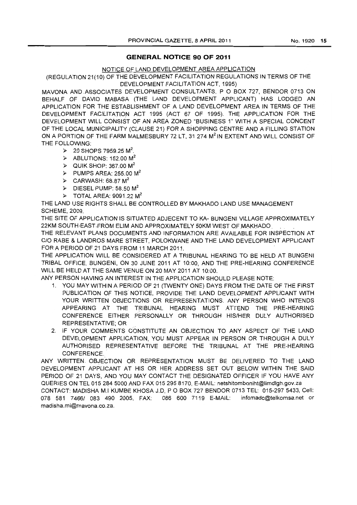# **GENERAL NOTICE 90 OF 2011**

# NOTICE OF LAND DEVELOPMENT AREA APPLICATION

(REGULATION 21(10) OF THE DEVELOPMENT FACILITATION REGULATIONS IN TERMS OF THE DEVELOPMENT FACILITATION ACT, 1995)

MAVONA AND.ASSOCIATES DEVELOPMENT CONSULTANTS, P 0 SOX 727, SENDOR 0713 ON BEHALF OF DAVID MABASA (THE LAND DEVELOPMENT APPLICANT) HAS LODGED AN APPLICATION FOR THE ESTABLISHMENT OF A LAND DEVELOPMENT AREA IN TERMS OF THE DEVELOPMENT FACILITATION ACT 1995 (ACT 67 OF 1995). THE APPLICATION FOR THE DEVELOPMENT WILL CONSIST OF AN AREA ZONED "SUSINESS 1" WITH A SPECIAL CONCENT OF THE LOCAL MUNICIPALITY (CLAUSE 21) FOR A SHOPPING CENTRE AND A FILLING STATION ON A PORTION OF THE FARM MALMESBURY 72 LT, 31 274 M<sup>2</sup> IN EXTENT AND WILL CONSIST OF THE FOLLOWING:

- $\geq$  20 SHOPS 7959.25 M<sup>2</sup>.
- $\geq$  ABLUTIONS: 152.00 M<sup>2</sup>
- $\triangleright$  QUIK SHOP: 367.00 M<sup>2</sup>
- $\triangleright$  PUMPS AREA: 255.00 M<sup>2</sup>
- $\geq$  CARWASH: 68.87 M<sup>2</sup>

madisha.mi@mavona.co.za.

- $\geq$  DIESEL PUMP: 58.50 M<sup>2</sup>
- $\geq$  TOTAL ARFA: 9091.22 M<sup>2</sup>

THE LAND USE RIGHTS SHALL BE CONTROLLED BY MAKHADO LAND USE MANAGEMENT SCHEME, 2009.

THE SITE OF APPLICATION IS SITUATED ADJECENT TO KA- BUNGENI VILLAGE APPROXIMATELY 22KM SOUTH EAST FROM ELIM AND APPROXIMATELY 50KM WEST OF MAKHADO

THE RELEVANT PLANS DOCUMENTS AND INFORMATION ARE AVAILABLE FOR INSPECTION AT C/O RABE & LANDROS MARE STREET, POLOKWANE AND THE LAND DEVELOPMENT APPLICANT FOR A PERIOD OF 21 DAYS FROM 11 MARCH 2011.

THE APPLICATION WILL BE CONSIDERED AT A TRIBUNAL HEARING TO BE HELD AT SUNGENI TRIBAL OFFICE, BUNGENI, ON 30 JUNE 2011 AT 10:00, AND THE PRE-HEARING CONFERENCE WILL BE HELD AT THE SAME VENUE ON 20 MAY 2011 AT 10:00.

ANY PERSON HAVING AN INTEREST IN THE APPLICATION SHOULD PLEASE NOTE:

- 1. YOU MAY WITHIN A PERIOD OF 21 (TWENTY ONE) DAYS FROM THE DATE OF THE FIRST PUBLICATION OF THIS NOTICE, PROVIDE THE LAND DEVELOPMENT APPLICANT WITH YOUR WRITTEN OBJECTIONS OR REPRESENTATIONS. ANY PERSON WHO INTENDS APPEARING AT THE TRIBUNAL HEARING MUST ATTEND THE PRE-HEARING CONFERENCE EITHER PERSONALLY OR THROUGH HIS/HER DULY AUTHORISED REPRESENTATIVE; OR.
- 2. IF YOUR COMMENTS CONSTITUTE AN OBJECTION TO ANY ASPECT OF THE LAND DEVELOPMENT APPLICATION, YOU MUST APPEAR IN PERSON OR THROUGH A DULY AUTHORISED REPRESENTATIVE BEFORE THE TRIBUNAL AT THE PRE-HEARING CONFERENCE.

ANY WRITTEN OBJECTION OR REPRESENTATION MUST BE DELIVERED TO THE LAND DEVELOPMENT APPLICANT AT HIS OR HER ADDRESS SET OUT BELOW WITHIN THE SAID PERIOD OF 21 DAYS, AND YOU MAY CONTACT THE DESIGNATED OFFICER IF YOU HAVE ANY QUERIES ON TEL 015 284 5000 AND FAX 015 2958170, E-MAIL: netshitomboniht@limdlgh.gov.za CONTACT: MADISHA M.I KUMBE KHOSA J.D, POBOX 727 BENDOR 0713 TEL: 015-2975433, Cell: 078 581 7466/ 083 490 2005, FAX: 086 600 7119 E-MAIL: infomadc@telkomsa.net or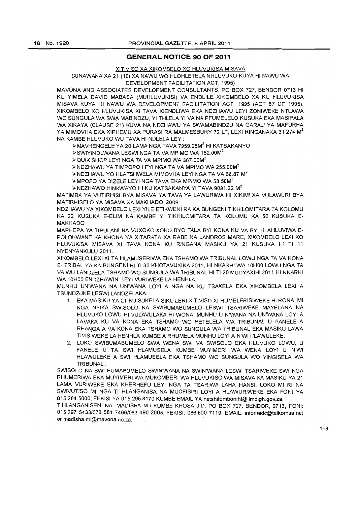# **GENERAL NOTICE 90 OF 2011**

### XITIVISO XA XIKOMBELO XO HLUVUKISA MISAVA

### (XINAWANA XA 21 (10) XA NAWU WO HLOHLETELA NHLUVUKO KUYA HI NAWU WA DEVELOPMENT FACILITATION ACT, 1995)

MAVONA AND ASSOCIATES DEVELOPMENT CONSULTANTS, PO BOX 727, BENDOR 0713 HI KU YIMELA DAVID MABASA (MUHLUVUKISI) VA ENDLILE' XIKOMBELO XA KU HLUVUKISA MISAVA KUYA HI NAWU WA DEVELOPMENT FACILITATION ACT, 1995 (ACT 67 OF 1995). XIKOMBELO XO HLUVUKISA XI TAVA XIENDLIWA EKA NDZHAWU LEYI ZONIWEKE NTLAWA WO SUNGULA WA SWA MABINDZU, YI THLELA YI VA NA PFUMELELO KUSUKA EKA MASIPALA WA XIKAYA (CLAUSE 21) KUVA NA NDZHAWU YA SWAMABINDZU NA GARAJI YA MAFURHA YA MIMOVHA EKA XIPHEMU XA PURASI RA MALMESBURY 72 LT, LEXI RINGANAKA 31 274 M<sup>2</sup> NA KAMBE HLUVUKO WU TAVA HI NDLELA LEYI:

>MAVHENGELE YA20 LAMA NGA TAVA 7959.25M2 HI KATSAKANYO

>SWIYINDLWANA LESWI NGA TA VA MPIMO WA 152.00M<sup>2</sup>

> QUIK SHOP LEYI NGA TA VA MPIMO WA 367.00M<sup>2</sup>

>NDZHAWU YA TIMPOPO LEYI NGA TA VA MPIMO WA 255.00M<sup>2</sup>

>NDZHAWU YO HLATSHWELA MIMOVHA LEYI NGA TA VA 68.87 M2

>MPOPO YA DIZELE LEYI NGA TAVA EKA MPIMO WA 58.50M<sup>2</sup>

>NDZHAWO HINKWAYO HI KU KATSAKANYA YI TAVA 9091.22 M2

MATIMBA YA VUTIRHISI BYA MISAVA YA TAVA YA LAWURIWA HI XIKIMI XA VULAWURI BYA MATIRHISELO YA MISAVA XA MAKHADO, 2009

NDZHAWU YA XIKOMBELO LEXI YILE ETIKWENI RA KA BUNGENI TIKHILOMITARA TA KOLOMU KA 22 KUSUKA E-ELIM NA KAMBE YI TIKHILOMITARA TA KOLUMU KA 50 KUSUKA E-MAKHADO

MAPHEPA YA TIPULANI NA VUXOKO-XOKU BYO TALA BYI KONA KU VA BYI HLAHLUVIWA E-POLOKWANE KA KHONA YA XITARATA XA RABE NA LANDROS MARE, XIKOMBELO LEXI XO HLUVUKISA MISAVA XI TAVA KONA KU RINGANA MASIKU YA 21 KUSUKA HI TI 11 NYENY ANKULU 2011.

XIKOMBELO LEX I XI TA HLAMUSERIWA EKA TSHAMO WA TRIBUNAL LOWU NGA TA VA KONA E- TRIBAL YA KA BUNGENI HI TI 30 KHOTAVUXIKA 2011, HI NKARHI WA 10HOO LOWU NGA TA VA WU LANDZELA TSHAMO WO SUNGULA WA TRIBUNAL HI TI 20 MUDYAXIHI 2011 HI NKARHI VVA 10HOO ENDZHAWINI LEYI VURIWEKE LA HENHLA.

MUNHU UN'WANA NA UN'WANA LOYI A NGA NA KU TSAKELA EKA XIKOMBELA LEXI A TSUNDZUKE I ESWI LANDZELAKA<sup>.</sup>

- 1. EKA MASIKU YA 21 KU SUKELA SIKU LERI XITIVISO XI HUMELERISIWEKE HI RONA, MI NGA NYIKA SWISOLO NA SWIBUMABUMELO LESWI TSARIWEKE MAYELANA NA HLUVUKO LOWU HI VULAVULAKA HI WONA. MUNHU U N'WANA NA UN'WANA LOYI A LAVAKA KU VA KONA EKA TSHAMO WO HETELELA WA TRIBUNAL U FANELE A RHANGA A VA KONA EKA TSHAMO WO SUNGULA WA TRIBUNAL EKA MASIKU LAWA TIVISIWEKE LA HENHLA KUMBE A RHUMELA MUNHU LOYI A N'WI HLAWULEKE.
- 2. LOKO SWIBUMABUMELO SWA WENA SWI VA SWISOLO EKA HLUVUKO LOWU, U FANELE U .TA SWI HLAMUSELA KUMBE MUYIMERI WA WENA LOYI U N'WI HLAWULEKE ASWI HLAMUSELA EKA TSHAMO WO SUNGULA WO YINGISELA WA TRIBUNAL.

SWISOLO NA SWI BUMABUMELO SWIN'WANA NA SWIN'WANA LESWI TSARIWEKE SWI NGA RHUMERIWA EKA MUYIMERI WA MUKOMBERI WA HLUVUKISO WA MISAVA KA MASIKU YA 21 LAMA VURIWEKE EKA KHERHEFU LEYI NGA TA TSARIWA LAHA HANSI. LOKO MI RI NA SWIVUTISO MI NGA TI HLANGANISA NA MUOFISIRI LOYI A HLAWURIWEKE EKA FONI YA 0152845000, FEKISI YA 015 295 8170 KUMBE EMAIL YAnetshitomboniht@limdlgh.gov.za.

TIHLANGANISENI NA: MADISHA M.I KUMBE KHOSA J.D, PO BOX 727, BENDOR, 0713, FONI: 015297 5433/078 581 7466/083490 2005, FEKISI: 086600 7119, EMAIL: infomadc@telkomsa.net or madisha.mi@mavona.co.za. .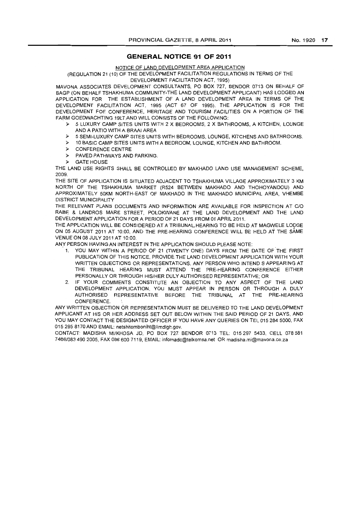# **GENERAL NOTICE 91 OF 2011**

NOTICE OF LAND DEVELOPMENT AREA APPLICATION

# (REGULATION 21 (10) OF THE DEVELOPMENT FACILITATION REGULATIONS IN TERMS OF THE

DEVELOPMENT FACILITATION ACT, 1995)

MAVONA ASSOCIATES DEVELOPMENT CONSULTANTS, PO BOX 727, BENDOR 0713 ON BEHALF OF BAGP (ON BEHALF TSHAKHUMA COMMUNITY-THE LAND DEVELOPMENT APPLICANT) HAS LODGED AN APPLICATION FOR THE ESTABLISHMENT OF A LAND DEVELOPMENT AREA IN TERMS OF THE DEVELOPMENT FACILITATION ACT, 1995 (ACT 67 OF 1995). THE APPLICATION IS FOR THE DEVELOPMENT FOF CONFERENCE, HERITAGE AND TOURISM FACILITIES ON A PORTION OF THE FARM GOEDWACHTING 19LT.AND WILL CONSISTS OF THE FOLLOWING:

- » 5 LUXURY CAMP SITES UNITS WITH 2 X BEDROOMS, 2 X BATHROOMS, A KITCHEN, LOUNGE AND A PATIO WITH A BRAAI AREA
- » 5 SEMI-LUXURY CAMP SITES UNITS WITH BEDROOMS, LOUNGE, KITCHENS AND BATHROmAS.
- :» 10 BASIC CAMP SITES UNITS WITH A BEDROOM, LOUNGE, KITCHEN AND BATHROOM.
- :» CONFERENCE CENTRE
- >- PAVED PATHWAYS AND PARKING:
- **GATE HOUSE**

THE LAND USE RIGHTS SHALL BE CONTROLLED BY MAKHADO LAND USE MANAGEMENT SCHEME, 2009.

THE SITE OF APPLICATION IS SITUATED ADJACENT TO TSHAKHUMA VILLAGE APPROXIMATELY 3 KM NORTH OF THE TSHAKHUMA MARKET (R524 BETWEEN MAKHADO AND THOHOYANDOU) AND APPROXIMATELY 50KM NORTH-EAST OF MAKHADO IN THE MAKHADO MUNICIPAL AREA, VHEMBE DISTRICT MUNICIPALITY

THE RELEVANT PLANS DOCUMENTS AND INFORMATION ARE AVAILABLE FOR INSPECTION AT CIO RABE & LANDROS MARE STREET, POLOKWANE AT THE LAND DEVELOPMENT AND THE LAND DEVELOPMENT APPLICATION FOR A PERIOD OF 21 DAYS FROM 01 APRIL 2011.

THE APPLICATION WILL BE CONSIDERED AT A TRIBUNAL-HEARING TO BE HELD AT MAGWELE LODGE ON 05 AUGUST 2011 AT 10:00, AND THE PRE-HEARING CONFERENCE WILL BE HELD AT THE SAME VENUE ON 08 JULY 2011 AT 10:00.

ANY PERSON HAVING AN INTEREST IN THE APPLICATION SHOULD PLEASE NOTE:

- 1. YOU MAY WITHIN A PERIOD OF 21 (TWENTY ONE) DAYS FROM THE DATE OF THE FIRST PUBLICATION OF THIS NOTICE, PROVIDE THE LAND DEVELOPMENT APPLICATION WITH YOUR WRITTEN OBJECTIONS OR REPRESENTATIONS. ANY PERSON WHO INTEND S APPEARING AT THE TRIBUNAL HEARING MUST ATTEND THE PRE-HEARING CONFERENCE EITHER PERSONALLY OR THROUGH HIS/HER DULY AUTHORISED REPRESENTATIVE; OR
- 2. IF YOUR COMMENTS CONSTITUTE AN OBJECTION TO ANY ASPECT OF THE LAND DEVELOPMENT APPLICATION, YOU MUST APPEAR IN PERSON OR THROUGH A DULY AUTHORISED REPRESENTATIVE BEFORE THE TRIBUNAL AT THE PRE-HEARING **CONFERENCE**

ANY WRITTEN OBJECTION OR REPRESENTATION MUST BE DELIVERED TO THE LAND DEVELOPMENT APPLICANT AT HIS OR HER ADDRESS SET OUT BELOW WITHIN THE SAID PERIOD OF 21 DAYS, AND YOU MAY CONTACT THE DESIGNATED OFFICER IF YOU HAVE ANY QUERIES ON TEL 015 284 5000, FAX 0152958170 AND EMAIL: netshitomboniht@limdlgh.gov.

CONTACT: MAD1SHA MIIKHOSA JD, PO BOX 727 BENDOR 0713 TEL: 015297 5433, CELL 078581 7466/0834902005, FAX 086 600 7119, EMAIL: infomadc@telkomsa.net OR madisha,mi@mavona,co.za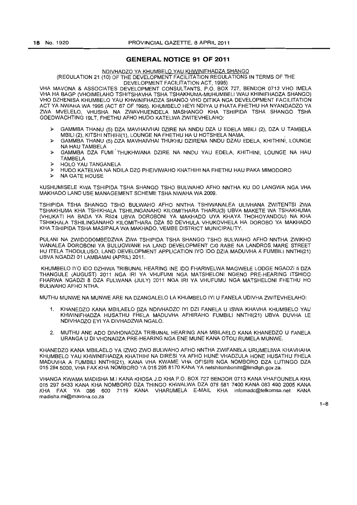# **GENERAL NOTICE 91 OF 2011**

### NDIVHADZO YA KHUMBELO YAU KHWINIFHADZA SHANGO

(REGULATION 21 (10) OF THE DEVELOPMENT FACILITATION REGULATIONS IN TERMS OF THE DEVELOPMENT FACILITATION ACT, 1995)

VHA MAVONA & ASSOCIATES DEVELOPMENT CONSULTANTS, P.O. BOX 727. BENDOR 0713 VHO IMELA VHA HA BAGP (VHOIMELAHO TSHITSHAVHA TSHA TSHAKHUMA-MtJHUMBELI WAU KHINIFHADZA SHANGO) VHO DZHENISA KHUMBELO YAU KHWINIFHADZA SHANGO VHO DITlKA NGA DEVELOPMENT FACILITATION ACT YA NWAHA WA 1995 (ACT 67 OF 1995). KHUMBELO HEYI NDIYA U FHATA FHETHU HA NYANDADZO YA ZWA MVELELO, VHUSHA NA ZWAVHUENDELA MASHANGO KHA TSHIPIDA TSHA SHANGO TSHA GOEDWACHTING 19LT, FHETHU AFHO HUDO KATELWAZWITEVHELAHO:

- » GAM MBA THANU (5) DZA MAVHAIVHAI DZIRE NA NNDU DZA U EDELA MBILI (2). DZA U TAMBELA MBILI (2), KITSHI NTHIHI(1), LOUNGE NA FHETHU HA U HOTSHELA NAMA.
- » GAM MBA THANU (5) DZA MAVHAIVHAI THUKHU DZIRENA NNDU DZAU EDELA. KHITHINI, LOUNGE NA HAU TAMBELA •
- » GAMMBA DZA FUMI THUKHWANA DZIRE NA NNDU YAU EDELA. KHITHINI. LOUNGE NA HAU TAMBELA
- » HOLO YAU TANGANELA
- » HUDO KATELWA NA NDILA DZO PHEIVIWAHO KHATHIHI NA FHETHU HAU PAKA MIMODORO
- » NA GATE HOUSE

KUSHUMISELE KWA TSHIPIDA TSHA SHANGO TSHO BULWAHO AFHO NNTHA KU DO LANGWA NGA VHA MAKHADO LAND USE MANAGEMENT SCHEME TSHA NWAHA WA 2009.

TSHIPIDA TSHA SHANGO TSHO BULWAHO AFHO NNTHA TSHIWANALEA UUVHANA ZWITENTSI ZWA TSHAKHUMA KHA TSHIKHALA TSHIUNGANAHO KILOMITHARA THARU(3) UBVA MAKETE WA TSHAKHUMA (VHUKATI HA BADA VA. R524 UBVA DOROBONI YA MAKHADO UYA KHAYA THOHOYANDOU) NA KHA TSHIKHALA TSHILINGANAHO KILOMITHARA DZA 50 DEVHULA VHUKOVHELA HA DOROBO YA MAKHADO KHA TSHIPIDA TSHA MASIPALA WA MAKHADO, VEMBE DISTRICT MUNICIPALITY.

PULANI NA ZWtDODOMBEDZWA ZWA TSHIPIDA TSHA SHANGO TSHO BULWAHO AFHO NNTHA ZWIKHO WANALEA DOROBONI YA BULUGWANE HA LAND DEVELOPMENT CIO RABE NA LANDROS. MARE STREET HU ITELA THODULUSO. LAND DEVELOPMENT APPLICATION IYO 100 DZIA MADUVHA A FUMBILI NNTHI(21) UBVA NGADZI 01 LAMBAMAI (APRIL) 2011.

KHUMBELO IYO 100 DZHIWA TRIBUNAL HEARING INE 100 FHARWELWA MAGWELE LODGE NGADZI 5 DZA THANGULE (AUGUST) 2011 NGA IRI YA VHUFUMI NGA MATSHELONI NGENO PRE·HEARING ITSHIDO FHARWA NGADZI 8 DZA FULWANA (JULY) 2011 NGA IRI YA VHUFUMU NGA MATSHELONI FHETHU HO BULWAHO AFHO NTHA.

MUTHU MUNWE NA MUNWE ARE NA DZANGALELO LAKHUMBELO IYI U FANELA UDIVHA ZWITEVHELAHO:

- 1. KHANEDZO KANA MBILAELO DZA NDIVHADZO IYI DZI FANELA U ISWA KHAVHA KHUMBELO YAU KHWINIFHADZA HUSATHU FHELA MADUVHA AFHIRAHO FUMBILI NNTHI(21) UBVA DUVHA LE NDIVHADZO EYI YA DIVHADZWA NGALO.
- 2. MUTHU ANE ADO DIVHONADZA TRIBUNAL HEARING ANA MBILAELO KANA KHANEDZO U FANELA URANGA U DI VHONADZA PRE-HEARING NGA ENE MUNE KANA OTOU RUMELA MUNWE.

KHANEDZO KANA MBILAELO YA IZWO ZWO BULWAHO AFHO NNTHA ZWIFANELA URUMELIWA KHAVHAHA KHUMBELO YAU KHWINIFHADZA KHATHIHI NA DIRESt YA AFHO HUNE VHADZULA HONE HUSATHU FHELA MADUVHA A FUMBILI NNTHI(21). KANA VHA KWAME VHA OFISIRI NGA NOMBORO DZA LUTINGO DZA 015 284 5000, VHA FAX KHA NOMBORO YA 015 295 8170 KANA YA netshitomboniht@limdlgh.gov.za.

VHANGA KWAMA MADISHA M.I KANA KHOSA J.D KHA P.O. BOX 727 BENDOR 0713 KANA VHAFOUNELA KHA 0152975433 KANA KHA NOMBORO DZA THINGO KHWALWA DZA 078 581 7400 KANA 083 490 2005 KANA KHA FAX YA 086 600 7119 KANA VHARUMELA E-MAIL KHA infomadc@telkomsa.net KANA madisha.mi@mavona.co.za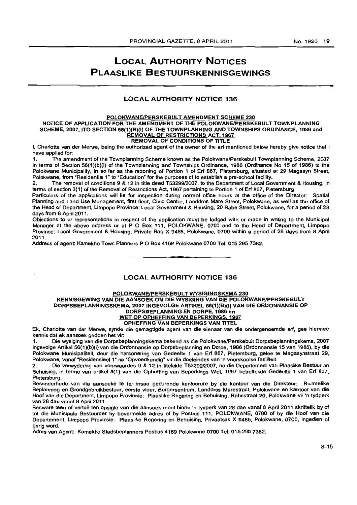# **LOCAL AUTHORITY NOTICES PLAASLIKE BESTUURSKENNISGEWINGS**

# LOCAL AUTHORITY NOTICE 136

### POLOKWANE/PERSKEBULT AMENDMENT SCHEME 230 NOTICE OF APPLICATION FOR THE AMENDMENT OF THE POLOKWANE/PERSKEBULT TOWNPLANNING SCHEME, 2007, ITO SECTION 56(1)(B)(I) OF THE TOWNPLANNING AND TOWNSHIPS ORDINANCE. 1986 and REMOVAL OF RESTRICTIONS ACT, 1967 REMOVAL OF CONDITIONS OF TITLE

I. Charlotte van der Merwe, being the authorized agent of the owner of the ert mentioned below hereby give notice that I have applied for:

1. The amendment of the Townplanning Scheme known as the Polokwane/Perskebult Townplanning Scheme, 2007 in terms of Section 56(1)(b)(i) of the Townplanning and Townships Ordinance, 1986 (Ordinance No 15 of 1986) to the Polokwane Municipality, in so far as the rezoning of Portion 1 of Erf 867, Pietersburg, situated at 29 Magasyn Street, Polokwane, from "Residential 1" to "Education" for the purposes of to establish a pre-school facility.

2. The removal of conditions 9 & 12 in title deed T53299/2007. to the Department of Local Govemment & Housing, in terms of section 3(1) of the Removal of Restrictions Act, 1967 pertaining to Portion 1 of Ert 867, Pletersburg.

Particulars of the applications will lie for inspection during normal office hours at the office of the Director: Spatial Planning and Land Use Management, first floor, Civic Centre, Landdros Maré Street, Polokwane, as well as the office of the Head of Department, Limpopo Province: Local Govemment & Housing. 20 Rabe Street. Polokwane. for a period of 28 days from 8 April 2011.

Objections to or representations in respect of the application must be lodged with or made in writing to the Municipal Manager at the above address or at P O Box 111, POLOKWANE, 0700 and to the Head of Department, Limpopo Province: Local Govemment & Housing. Private' Bag X 9485. Polokwane. 0700 within a period of 28 'days from 8 April 2011.

Address of agent: Kamekho Town Planners P O Box 4169 Polokwane 0700 Tel: 015 295 7382.

# LOCAL AUTHORITY NOTICE 136

**. -**

### POLOKWANE/PERSKEBULT WYSIGINGSKEMA 230

# KENNISGEWlNG VAN DIE AANSOEK OM DIE WYSIGING VAN DIE POLOKWANEIPERSKEBUL T DORPSBEPLANNINGSKEMA, 2007 INGEVOLGE ARTIKEL 56(1)(B)(I) VAN DIE ORDONNANSIE OP DORPSBEPLANNING EN DORPE,1986 en WET OP OPHEFFING VAN BEPERKINGS, 1967

# OPHEFFING VAN BEPERKINGS VAN TITEL

Ek. Charlotte van der Merwe, synde die gemagtigde agent van die eienaar van die ondergenoemde ert. gee hiermee kennis det ek aansoek gadoen het vir:

1. Die wysiging van die Dorpsbeplanningskema bekend as die PolokwanelPerskebult Dorpsbeplanningskema. 2007 ingevolge Artikel 56(1)(b)(I) van die Oroonnansie op Dorpsbeplanning en Dorpe, 1986 (Ordonnensie 15 van 1986). by die Polokwane Munisipaliteit. deur die hersonering van Gedeelte 1 van Ert 867, Pietersburg. gelee te Magesynstraat 29. Polokwane, vanaf "Residensieel 1· na "Opvoedkundig" vir die doeleindes van 'n voorskoolse fasiliteit.

2. Die verwydering van voorwaardes 9 & 12 in titelakte T53299/2007, na die Departement van Plaaslike Bestuur en Behuising. in terme van artikel 3(1) van die Opheffing van Beperkings Wet. 1967 betreffende Gedeelte 1 van Erf 867. Pietersburg.

Besonderhede van die aansoeke Iê ter insae gedurende kantoorure by die kantoor van die Direkteur: Ruimtelike Beplanning en Grondgebruikbestuur. eerste vloer. Burgersentrum. Landdros Marestraat, Polokwane en kantoor van die Hoof van die Department. Limpopo Provinsie: Plaaslike Regering en Behuising, Rabestraat 20, Polokwane vir 'n tydperk van 28 dae vanaf 8 April 2011.

Besware teen of vertoë ten opsigte van die aansoek moet binne 'n tydperk van 28 dae vanaf 8 April 2011 skriftelik by of tot die Munisipale Bestuurder by bovermelde adres of by Posbus 111, POLOKW ANE. 0700 of by die Hoof van die Departement. Limpopo Provinsie: Plaaslike Regering en Behuising. Privaatsak X 9485, Polokwane. 0700, ingedien of gerig word.

Adres van Agent: Kamekho Stadsbeplanners Posbus 4169 Polokwane 0700 Tel: 0152957382.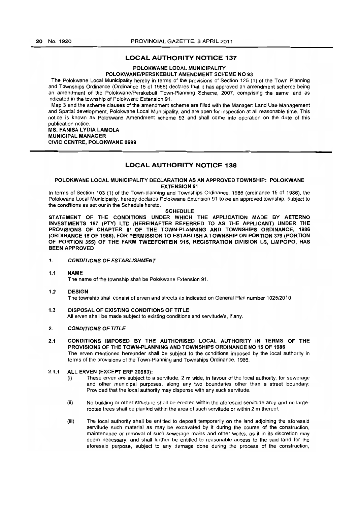# LOCAL AUTHORITY NOTICE 137

### POLOKWANE LOCAL MUNICIPALITY POLOKWANE/PERSKEBULT AMENDMENT SCHEME NO 93

The Polokwane Local Municipality hereby in terms of the provisions of Section 125 (1) of the Town Planning and Townships Ordinance (Ordinance 15 of 1986) declares that it has approved an amendment scheme being an amendment of the Polokwane/Perskebult Town-Planning Scheme, 2007, comprising the same land as indicated in the township of Polokwane Extension 91.

Map 3 and the scheme clauses of the amendment scheme are filled with the Manager: Land Use Management and Spatial development, Polokwane Local Municipality, and are open for inspection at all reasonable time. This notice is known as POlokwane Amendment scheme 93 and shall come into operation on the date of this publication notice,

### MS. FANISA LYDIA LAMOLA MUNICIPAL MANAGER

CIVIC CENTRE, POLOKWANE 0699

# LOCAL AUTHORITY NOTICE 138

### POLOKWANE LOCAL MUNICIPALITY DECLARATION AS AN APPROVED TOWNSHIP: POLOKWANE EXTENSION 91

In terms of Section 103 (1) of the Town-planning and Townships Ordinance, 1986 (ordinance 15 of 1986), the Polokwane Local Municipality, hereby declares Polokwane Extension 91 to be an approved township, subject to the conditions as set our in the Schedule hereto.

# **SCHEDULE**

STATEMENT OF THE CONDITIONS UNDER WHICH THE APPLICATION MADE BY AETERNO INVESTMENTS 197 (PTY) LTD (HEREINAFTER REFERRED TO AS THE APPLICANT) UNDER THE PROVISIONS OF CHAPTER III OF THE TOWN·PLANNING AND TOWNSHIPS ORDINANCE, 1986 (ORDINANCE 15 OF 1986), FOR PERMISSION TO ESTABLISH A TOWNSHIP ON PORTION 379 (PORTION OF PORTION 355) OF THE FARM TWEEFONTEIN 915, REGISTRATION DIVISION LS, LIMPOPO, HAS BEEN APPROVED

# 1. CONDITIONS OF ESTABLISHMENT

### 1.1 NAME

The name of the township shall be Polokwane Extension 91.

### 1.2 DESIGN The township shall consist of erven and streets as indicated on General Plan number 1025/2010,

1.3 DISPOSAL OF EXISTING CONDITIONS OF TITLE All erven shall be made subject to existing conditions and servitude's, if any.

## 2. CONDITIONS OF TITLE

2.1 CONDITIONS IMPOSED BY THE AUTHORISED LOCAL AUTHORITY IN TERMS OF THE PROVISIONS OF THE TOWN·PLANNING AND TOWNSHIPS ORDINANCE NO 15 OF 1986 The erven mentioned hereunder shall be subject to the conditions imposed by the local authority in terms of the provisions of the Town-Planning and Townships Ordinance, 1986.

## 2.1.1 ALL ERVEN (EXCEPT ERF 20963):

- (i) These erven are subject to a servitude, 2 m wide, in favour of the local authority, for sewerage and other municipal purposes, along any two boundaries other than a street boundary: Provided that the local authority may dispense with any such servitude.
- (ii) No building or other structure shall be erected within the aforesaid servitude area and no largerooted trees shall be planted within the area of such servitude or within 2 m thereof,
- (iii) The local authority shall be entitled to deposit temporarily on the land adjoining the aforesaid servitude such material as may be excavated by it during the course of the construction, maintenance or removal of such sewerage mains and other works, as it in its discretion may deem necessary, and shall further be entitled to reasonable access to the said land for the aforesaid purpose, subject to any damage done during the process of the construction,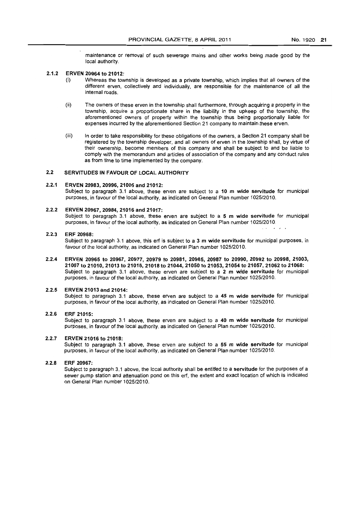maintenance or removal of such sewerage mains and other works being made good by the local authority.

# 2.1.2 ERVEN 20964 to 21012:

- (i) Whereas the township is developed as a private township, which implies that all owners of the different erven, collectively and individually. are responsible for the maintenance of all the internal roads.
- (ii) The owners of these erven in the township shall furthermore, through acquiring a property in the township. acquire a proportionate share in the liability in the upkeep of the township, the aforementioned owners of property within the township thus being proportionally liable for expenses incurred by the aforementioned Section 21 company to maintain these erven.
- (iii) In order to take responsibility for these obligations of the owners, a Section 21 company shall be registered by the township developer. and all owners of erven in the township shall, by virtue of their ownership, become members of this company and shall be subject to and be liable to comply with the memorandum and articles of association of the company and any conduct rules as from time to time implemented by the company.

### 2.2 SERVITUDES IN FAVOUR OF LOCAL AUTHORITY

#### 2.2.1 ERVEN 20983, 20996, 21005 and 21012:

Subject to paragraph 3.1 above, these erven are subject to a 10 m wide servitude for municipal purposes, in favour of the local authority. as indicated on General Plan number 1025/2010.

### 2.2.2 ERVEN 20967, 20984, 21016 and 21017:

Subject to paragraph 3.1 above, these erven are subject to a  $5 \text{ m}$  wide servitude for municipal purposes, in favour of the local authority, as indicated on General Plan number 1025/2010.

### 2.2.3 ERF 20968:

Subject to paragraph 3.1 above, this erf is subject to a 3 m wide servitude for municipal purposes, in favour of the local authority, as indicated on General Plan number 1025/2010.

2.2.4 ERVEN 20965 to 20967, 20977, 20979 to 20981, 20985, 20987 to 20990, 20992 to 20998, 21003, 21007 to 21010, 21013 to 21015,21018 to 21044, 21050 to 21053, 21054 to 21057,21062 to 21068: Subject to paragraph 3.1 above, these erven are subject to a 2 m wide servitude for municipal purposes, in favour of the local authority, as indicated on General Plan number 1025/2010.

#### 2.2.5 ERVEN 21013 and 21014:

Subject to paragraph 3.1 above, these erven are subject to a 45 m wide servitude for municipal purposes. in favour of the local authority, as indicated on General Plan number 102512010.

### 2.2.6 ERF 21015:

Subject to paragraph 3.1 above, these erven are subject to a 40 m wide servitude for municipal purposes, in favour of the local authority, as indicated on General Plan number 102512010.

### 2.2.7 ERVEN 21016 to 21018:

Subject to paragraph 3.1 above, these erven are subject to a 55 m wide servitude for municipal purposes, in favour of the local authority, as indicated on General Plan number 102512010.

### 2.2.8 ERF 20967:

Subject to paragraph 3.1 above, the local authority shall be entitled to a servitude for the purposes of a sewer pump station and attenuation pond on this erf, the extent and exact location of which is indicated on General Plan number 1025/2010.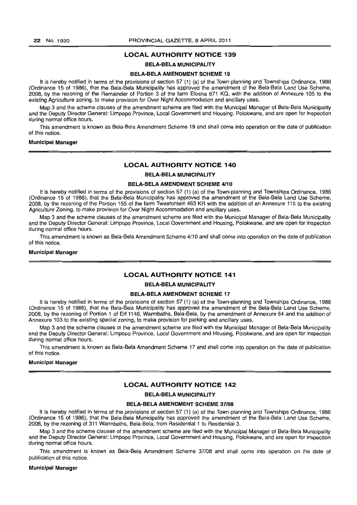# LOCAL AUTHORITY NOTICE 139

# BELA-BELA MUNICIPALITY

### BELA-BELA AMENDMENT SCHEME 19

It is hereby notified in terms of the provisions of section 57 (1) (a) of the Town-planning and Townships Ordinance, 1986 (Ordinance 15 of 1986), that the Bela-Bela Municipality has approved the amendment of the Bela-Bela Land Use Scheme, 2008, by the rezoning of the Remainder of Portion 3 of the farm Etosha 671 KQ, with the addition of Annexure 105 to the existing Agriculture zoning. to make provision for Over Night Accommodation and ancillary uses.

Map 3 and the scheme clauses of the amendment scheme are filed with the Municipal Manager of Bela-Bela Municipality and the Deputy Director General: Limpopo Province, Local Government and Housing, Polokwane, and are open for inspection during normal office hours.

This amendment is known as Bela-Bela Amendment Scheme 19 and shall come into operation on the date of publication of this notice.

## Municipal Manager

### LOCAL AUTHORITY NOTICE 140

### BELA-BELA MUNICIPALITY

### BELA-BELA AMENDMENT SCHEME 4110

It is hereby notified in terms of the provisions of section 57 (1) (a) of the Town-planning and Townships Ordinance, 1986 (Ordinance 15 of 1986), that the Bela-Bela Municipality has approved the amendment of the Bela-Bela Land Use Scheme, 2008, by the rezoning of the Portion 155 of the farm Tweefontein 463 KR with the addition of an Annexure 115 to the existing Agriculture Zoning, to make provision for Over Night Accommodation and ancillary uses.

Map 3 and the scheme clauses of the amendment scheme are filed with the Municipal Manager of Bela-Bela Municipality and the Deputy Director General: Limpopo Province, Local Govemment and Housing, Polokwane, and are open for inspection during normal office hours.

This amendment is known as Bela-Bela Amendment Scheme 4/10 and shall come into operation on the date of publication of this notice.

### Municipal Manager

# LOCAL AUTHORITY NOTICE 141

#### BELA-BELA MUNICIPALITY

### BELA-BELA AMENDMENT SCHEME 17

It is hereby notified in terms of the provisions of section 57 (1) (a) of the Town-planning and Townships Ordinance, 1986 (Ordinance 15 of 1986), that the Bela-Bela Municipality has approved the amendment of the Bela-Bela Land Use Scheme, 2008, by the rezoning of Portion 1 of Erf 1146, Warmbaths, Bela-Bela, by the amendment of Annexure 64 and the addition of Annexure 103 to the existing special zoning, to make provision for parking and ancillary uses.

Map 3 and the scheme clauses of the amendment scheme are tiled with the Municipal Manager of Bela-Bela Municipality and the Deputy Director General: Limpopo Province, Local Government and Housing, Polokwane, and are open for inspection during normal office hours.

This amendment is known as Bela-Bela Amendment Scheme 17 and shall come into operation on the date of publication of this notice.

### Municipal Manager

# LOCAL AUTHORITY NOTICE 142

### BELA-BELA MUNICIPALITY

### BELA-BELA AMENDMENT SCHEME 37/08

It is hereby notified in terms of the provisions of section 57 (1) (a) of the Town-planning and Townships Ordinance, 1986 (Ordinance 15 of 1986), that the Bela-Bela Municipality has approved the amendment of the Bela-Bela Land Use Scheme, 2008, by the rezoning of 311 Warmbaths, Bela-Bela, from Residential 1 to Residential 3.

Map 3 and the scheme clauses of the amendment scheme are filed with the Municipal Manager of Bela-Bela Municipality and the Deputy Director General: Limpopo Province, Local Government and Housing, Polokwane, and are open for inspection during normal office hours.

This amendment is known as Bela-Bela Amendment Scheme *37/08* and shall come into operation on the date of publication of this notice.

#### Municipal Manager